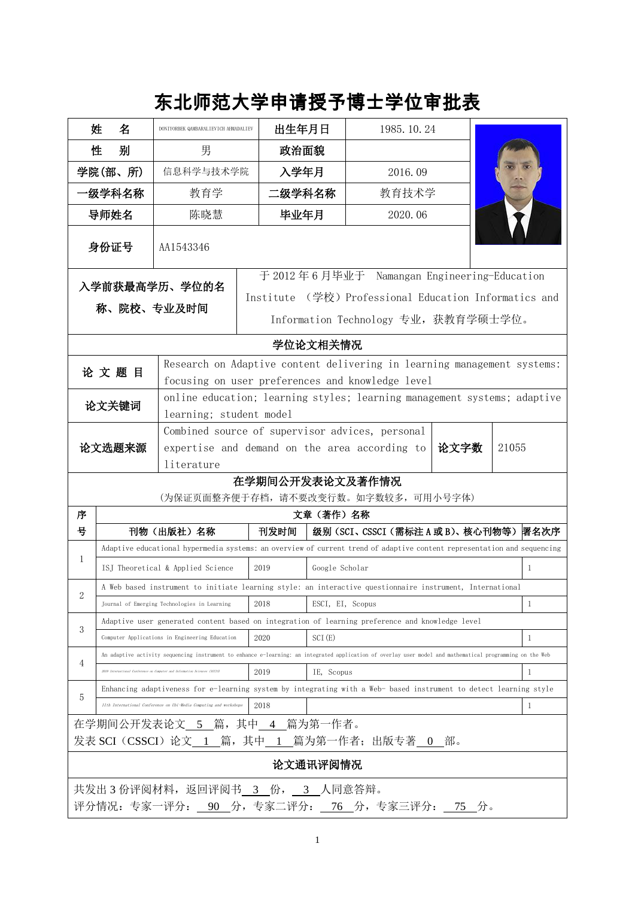## 东北师范大学申请授予博士学位审批表

|                                                                                        | 姓                                                                                                                                                                                   | 名       | DONIYORBEK QAMBARALIEVICH AHMADALIEV                                                                                            | 出生年月日                                                                                                                                                                                |                                  | 1985. 10. 24                         |  |              |  |  |
|----------------------------------------------------------------------------------------|-------------------------------------------------------------------------------------------------------------------------------------------------------------------------------------|---------|---------------------------------------------------------------------------------------------------------------------------------|--------------------------------------------------------------------------------------------------------------------------------------------------------------------------------------|----------------------------------|--------------------------------------|--|--------------|--|--|
|                                                                                        | 性                                                                                                                                                                                   | 别       | 男                                                                                                                               | 政治面貌                                                                                                                                                                                 |                                  |                                      |  |              |  |  |
|                                                                                        |                                                                                                                                                                                     | 学院(部、所) | 信息科学与技术学院                                                                                                                       |                                                                                                                                                                                      | 入学年月<br>2016.09                  |                                      |  |              |  |  |
| ·级学科名称                                                                                 |                                                                                                                                                                                     |         | 教育学                                                                                                                             | 二级学科名称                                                                                                                                                                               |                                  | 教育技术学                                |  |              |  |  |
| 导师姓名                                                                                   |                                                                                                                                                                                     |         | 陈晓慧                                                                                                                             | 毕业年月                                                                                                                                                                                 |                                  | 2020.06                              |  |              |  |  |
|                                                                                        | 身份证号                                                                                                                                                                                |         | AA1543346                                                                                                                       |                                                                                                                                                                                      |                                  |                                      |  |              |  |  |
| 入学前获最高学历、学位的名<br>称、院校、专业及时间                                                            |                                                                                                                                                                                     |         |                                                                                                                                 | 于 2012年6月毕业于 Namangan Engineering-Education<br>Institute (学校) Professional Education Informatics and<br>Information Technology 专业, 获教育学硕士学位。                                         |                                  |                                      |  |              |  |  |
| 学位论文相关情况                                                                               |                                                                                                                                                                                     |         |                                                                                                                                 |                                                                                                                                                                                      |                                  |                                      |  |              |  |  |
| 论文题目                                                                                   |                                                                                                                                                                                     |         | Research on Adaptive content delivering in learning management systems:<br>focusing on user preferences and knowledge level     |                                                                                                                                                                                      |                                  |                                      |  |              |  |  |
|                                                                                        |                                                                                                                                                                                     | 论文关键词   | online education; learning styles; learning management systems; adaptive<br>learning; student model                             |                                                                                                                                                                                      |                                  |                                      |  |              |  |  |
| 论文选题来源                                                                                 |                                                                                                                                                                                     |         | Combined source of supervisor advices, personal<br>expertise and demand on the area according to<br>论文字数<br>21055<br>literature |                                                                                                                                                                                      |                                  |                                      |  |              |  |  |
| 在学期间公开发表论文及著作情况                                                                        |                                                                                                                                                                                     |         |                                                                                                                                 |                                                                                                                                                                                      |                                  |                                      |  |              |  |  |
| 序                                                                                      |                                                                                                                                                                                     |         |                                                                                                                                 |                                                                                                                                                                                      | 文章 (著作) 名称                       | (为保证页面整齐便于存档, 请不要改变行数。如字数较多, 可用小号字体) |  |              |  |  |
| 븅                                                                                      |                                                                                                                                                                                     |         | 刊物(出版社)名称                                                                                                                       | 刊发时间                                                                                                                                                                                 | 级别(SCI、CSSCI(需标注A或B)、核心刊物等) 署名次序 |                                      |  |              |  |  |
| 1                                                                                      |                                                                                                                                                                                     |         |                                                                                                                                 | Adaptive educational hypermedia systems: an overview of current trend of adaptive content representation and sequencing                                                              |                                  |                                      |  |              |  |  |
|                                                                                        |                                                                                                                                                                                     |         | ISJ Theoretical & Applied Science                                                                                               | 2019                                                                                                                                                                                 | Google Scholar<br>$\mathbf{1}$   |                                      |  |              |  |  |
| $\overline{2}$                                                                         |                                                                                                                                                                                     |         |                                                                                                                                 | A Web based instrument to initiate learning style: an interactive questionnaire instrument, International                                                                            |                                  |                                      |  |              |  |  |
|                                                                                        |                                                                                                                                                                                     |         | Journal of Emerging Technologies in Learning                                                                                    | 2018                                                                                                                                                                                 | ESCI, EI, Scopus                 |                                      |  | $\mathbf{1}$ |  |  |
| 3                                                                                      | Adaptive user generated content based on integration of learning preference and knowledge level<br>2020<br>SCI(E)<br>$\mathbf{1}$<br>Computer Applications in Engineering Education |         |                                                                                                                                 |                                                                                                                                                                                      |                                  |                                      |  |              |  |  |
| 4                                                                                      |                                                                                                                                                                                     |         | 2019 International Conference on Computer and Information Sciences (ICCIS)                                                      | An adaptive activity sequencing instrument to enhance e-learning: an integrated application of overlay user model and mathematical programming on the Web<br>2019<br>IE, Scopus<br>1 |                                  |                                      |  |              |  |  |
| 5                                                                                      |                                                                                                                                                                                     |         | 11th International Conference on Ubi-Media Computing and workshops                                                              | Enhancing adaptiveness for e-learning system by integrating with a Web- based instrument to detect learning style<br>$\mathbf{1}$<br>2018                                            |                                  |                                      |  |              |  |  |
| 在学期间公开发表论文 5 篇, 其中 4 篇为第一作者。<br>发表 SCI (CSSCI) 论文 1 篇, 其中 1 篇为第一作者; 出版专著 0 部。          |                                                                                                                                                                                     |         |                                                                                                                                 |                                                                                                                                                                                      |                                  |                                      |  |              |  |  |
| 论文通讯评阅情况                                                                               |                                                                                                                                                                                     |         |                                                                                                                                 |                                                                                                                                                                                      |                                  |                                      |  |              |  |  |
| 共发出 3 份评阅材料, 返回评阅书 3 份, 3 人同意答辩。<br>评分情况: 专家一评分: _ 90 分, 专家二评分: _ 76 分, 专家三评分: _ 75 分。 |                                                                                                                                                                                     |         |                                                                                                                                 |                                                                                                                                                                                      |                                  |                                      |  |              |  |  |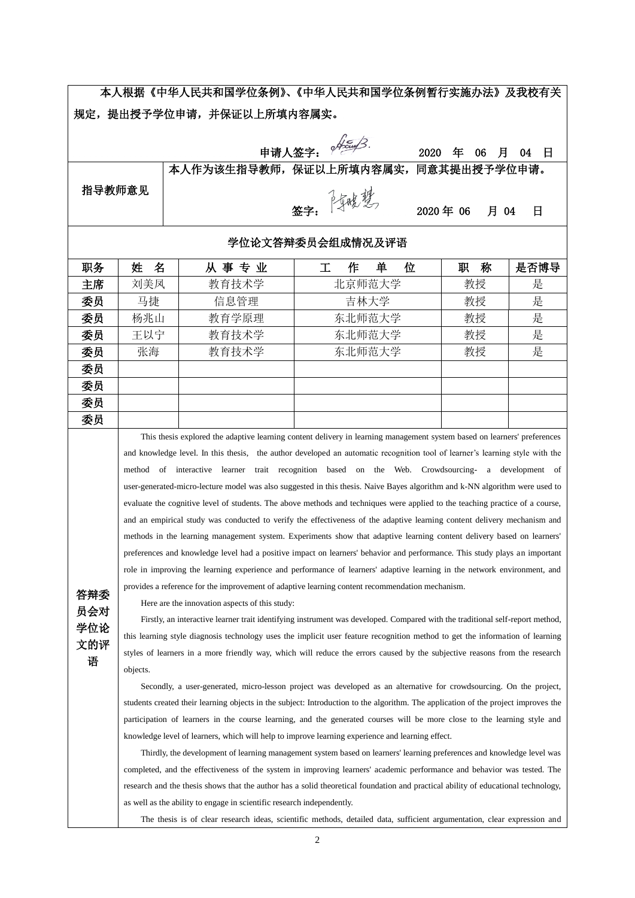本人根据《中华人民共和国学位条例》、《中华人民共和国学位条例暂行实施办法》及我校有关 规定,提出授予学位申请,并保证以上所填内容属实。

中请人签字: *个<sup>经</sup>* 指导教师意见 本人作为该生指导教师,保证以上所填内容属实,同意其提出授予学位申 签字: <sup>2500</sup> 卷线 2020年 06 月 04 日

## 学位论文答辩委员会组成情况及评语

| 职务 | 姓<br>名 | 从事专业  | 单<br>作<br>位 | 称<br>职 | 是否博导 |
|----|--------|-------|-------------|--------|------|
| 主席 | 刘美凤    | 教育技术学 | 北京师范大学      | 教授     | 是    |
| 委员 | 马捷     | 信息管理  | 吉林大学        | 教授     | 是    |
| 委员 | 杨兆山    | 教育学原理 | 东北师范大学      | 教授     | 是    |
| 委员 | 王以宁    | 教育技术学 | 东北师范大学      | 教授     | 是    |
| 委员 | 张海     | 教育技术学 | 东北师范大学      | 教授     | 是    |
| 委员 |        |       |             |        |      |
| 委员 |        |       |             |        |      |
| 委员 |        |       |             |        |      |
| 委员 |        |       |             |        |      |

This thesis explored the adaptive learning content delivery in learning management system based on learners' preferences and knowledge level. In this thesis, the author developed an automatic recognition tool of learner's learning style with the method of interactive learner trait recognition based on the Web. Crowdsourcing- a development of user-generated-micro-lecture model was also suggested in this thesis. Naive Bayes algorithm and k-NN algorithm were used to evaluate the cognitive level of students. The above methods and techniques were applied to the teaching practice of a course, and an empirical study was conducted to verify the effectiveness of the adaptive learning content delivery mechanism and methods in the learning management system. Experiments show that adaptive learning content delivery based on learners' preferences and knowledge level had a positive impact on learners' behavior and performance. This study plays an important role in improving the learning experience and performance of learners' adaptive learning in the network environment, and provides a reference for the improvement of adaptive learning content recommendation mechanism.

答辩委 员会对 学位论 文的评 语

Here are the innovation aspects of this study:

Firstly, an interactive learner trait identifying instrument was developed. Compared with the traditional self-report method, this learning style diagnosis technology uses the implicit user feature recognition method to get the information of learning styles of learners in a more friendly way, which will reduce the errors caused by the subjective reasons from the research objects.

Secondly, a user-generated, micro-lesson project was developed as an alternative for crowdsourcing. On the project, students created their learning objects in the subject: Introduction to the algorithm. The application of the project improves the participation of learners in the course learning, and the generated courses will be more close to the learning style and knowledge level of learners, which will help to improve learning experience and learning effect.

Thirdly, the development of learning management system based on learners' learning preferences and knowledge level was completed, and the effectiveness of the system in improving learners' academic performance and behavior was tested. The research and the thesis shows that the author has a solid theoretical foundation and practical ability of educational technology, as well as the ability to engage in scientific research independently.

The thesis is of clear research ideas, scientific methods, detailed data, sufficient argumentation, clear expression and